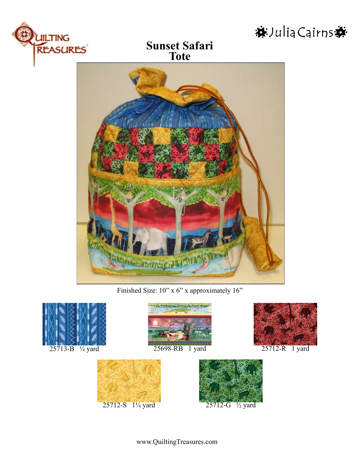

**Sunset Safari Tote**



Finished Size:  $10$ " x 6" x approximately  $16$ "



25713-B ¼ yard





25698-RB 1 yard 25712-R 1 yard





※Julia Cairns※

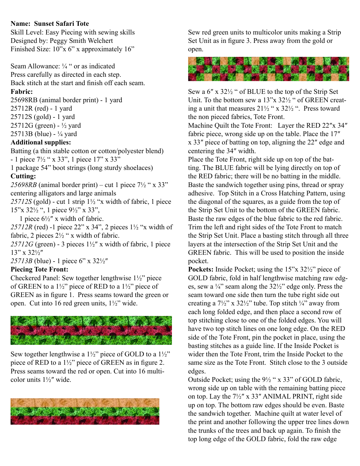# **Name: Sunset Safari Tote**

Skill Level: Easy Piecing with sewing skills Designed by: Peggy Smith Welchert Finished Size: 10"x 6" x approximately 16"

Seam Allowance: ¼ " or as indicated Press carefully as directed in each step. Back stitch at the start and finish off each seam.

### **Fabric:**

25698RB (animal border print) - 1 yard 25712R (red) - 1 yard 25712S (gold) - 1 yard 25712G (green) - ½ yard 25713B (blue) - ¼ yard

### **Additional supplies:**

Batting (a thin stable cotton or cotton/polyester blend) - 1 piece 7½ " x 33", 1 piece 17" x 33" 1 package 54" boot strings (long sturdy shoelaces)

### **Cutting:**

25698RB (animal border print) – cut 1 piece  $7\frac{1}{2}$  " x 33" centering alligators and large animals

 $25712S$  (gold) - cut 1 strip  $1\frac{1}{2}$  "x width of fabric, 1 piece 15"x 32½ ", 1 piece 9½" x 33",

1 piece  $6\frac{1}{2}$ " x width of fabric.

*25712R* (red) -1 piece 22" x 34", 2 pieces 1½ "x width of fabric, 2 pieces 2½ " x width of fabric.

 $25712G$  (green) - 3 pieces  $1\frac{1}{2}$ " x width of fabric, 1 piece 13" x 32½″

*25713B* (blue) - 1 piece 6" x 32½″

# **Piecing Tote Front:**

Checkered Panel: Sew together lengthwise 1½" piece of GREEN to a  $1\frac{1}{2}$ " piece of RED to a  $1\frac{1}{2}$ " piece of GREEN as in figure 1. Press seams toward the green or open. Cut into 16 red green units, 1½" wide.



Sew together lengthwise a  $1\frac{1}{2}$ " piece of GOLD to a  $1\frac{1}{2}$ " piece of RED to a 1½" piece of GREEN as in figure 2. Press seams toward the red or open. Cut into 16 multicolor units 1½″ wide.



Sew red green units to multicolor units making a Strip Set Unit as in figure 3. Press away from the gold or open.



Sew a 6″ x 32½ " of BLUE to the top of the Strip Set Unit. To the bottom sew a 13"x 32½ " of GREEN creating a unit that measures  $21\frac{1}{2}$  " x  $32\frac{1}{2}$  ". Press toward the non pieced fabrics, Tote Front.

Machine Quilt the Tote Front: Layer the RED 22"x 34" fabric piece, wrong side up on the table. Place the 17″ x 33″ piece of batting on top, aligning the 22″ edge and centering the 34″ width.

Place the Tote Front, right side up on top of the batting. The BLUE fabric will be lying directly on top of the RED fabric; there will be no batting in the middle. Baste the sandwich together using pins, thread or spray adhesive. Top Stitch in a Cross Hatching Pattern, using the diagonal of the squares, as a guide from the top of the Strip Set Unit to the bottom of the GREEN fabric. Baste the raw edges of the blue fabric to the red fabric. Trim the left and right sides of the Tote Front to match the Strip Set Unit. Place a basting stitch through all three layers at the intersection of the Strip Set Unit and the GREEN fabric. This will be used to position the inside pocket.

**Pockets:** Inside Pocket; using the 15"x 32½" piece of GOLD fabric, fold in half lengthwise matching raw edges, sew a  $\frac{1}{4}$  seam along the  $32\frac{1}{2}$  edge only. Press the seam toward one side then turn the tube right side out creating a  $7\frac{1}{2}$ " x  $32\frac{1}{2}$ " tube. Top stitch  $\frac{1}{4}$ " away from each long folded edge, and then place a second row of top stitching close to one of the folded edges. You will have two top stitch lines on one long edge. On the RED side of the Tote Front, pin the pocket in place, using the basting stitches as a guide line. If the Inside Pocket is wider then the Tote Front, trim the Inside Pocket to the same size as the Tote Front. Stitch close to the 3 outside edges.

Outside Pocket; using the 9½ " x 33" of GOLD fabric, wrong side up on table with the remaining batting piece on top. Lay the  $7\frac{1}{2}$ " x 33" ANIMAL PRINT, right side up on top. The bottom raw edges should be even. Baste the sandwich together. Machine quilt at water level of the print and another following the upper tree lines down the trunks of the trees and back up again. To finish the top long edge of the GOLD fabric, fold the raw edge